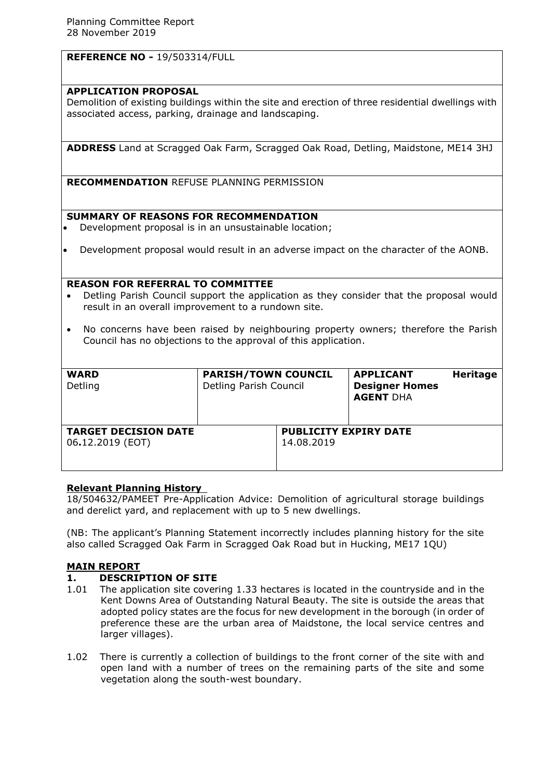# **REFERENCE NO -** 19/503314/FULL

### **APPLICATION PROPOSAL**

Demolition of existing buildings within the site and erection of three residential dwellings with associated access, parking, drainage and landscaping.

**ADDRESS** Land at Scragged Oak Farm, Scragged Oak Road, Detling, Maidstone, ME14 3HJ

**RECOMMENDATION** REFUSE PLANNING PERMISSION

### **SUMMARY OF REASONS FOR RECOMMENDATION**

- Development proposal is in an unsustainable location;
- Development proposal would result in an adverse impact on the character of the AONB.

#### **REASON FOR REFERRAL TO COMMITTEE**

- Detling Parish Council support the application as they consider that the proposal would result in an overall improvement to a rundown site.
- No concerns have been raised by neighbouring property owners; therefore the Parish Council has no objections to the approval of this application.

| <b>WARD</b><br>Detling                          | <b>PARISH/TOWN COUNCIL</b><br>Detling Parish Council |                                            | <b>APPLICANT</b><br><b>Designer Homes</b><br><b>AGENT DHA</b> | <b>Heritage</b> |
|-------------------------------------------------|------------------------------------------------------|--------------------------------------------|---------------------------------------------------------------|-----------------|
| <b>TARGET DECISION DATE</b><br>06.12.2019 (EOT) |                                                      | <b>PUBLICITY EXPIRY DATE</b><br>14.08.2019 |                                                               |                 |

# **Relevant Planning History**

18/504632/PAMEET Pre-Application Advice: Demolition of agricultural storage buildings and derelict yard, and replacement with up to 5 new dwellings.

(NB: The applicant's Planning Statement incorrectly includes planning history for the site also called Scragged Oak Farm in Scragged Oak Road but in Hucking, ME17 1QU)

#### **MAIN REPORT**

#### **1. DESCRIPTION OF SITE**

- 1.01 The application site covering 1.33 hectares is located in the countryside and in the Kent Downs Area of Outstanding Natural Beauty. The site is outside the areas that adopted policy states are the focus for new development in the borough (in order of preference these are the urban area of Maidstone, the local service centres and larger villages).
- 1.02 There is currently a collection of buildings to the front corner of the site with and open land with a number of trees on the remaining parts of the site and some vegetation along the south-west boundary.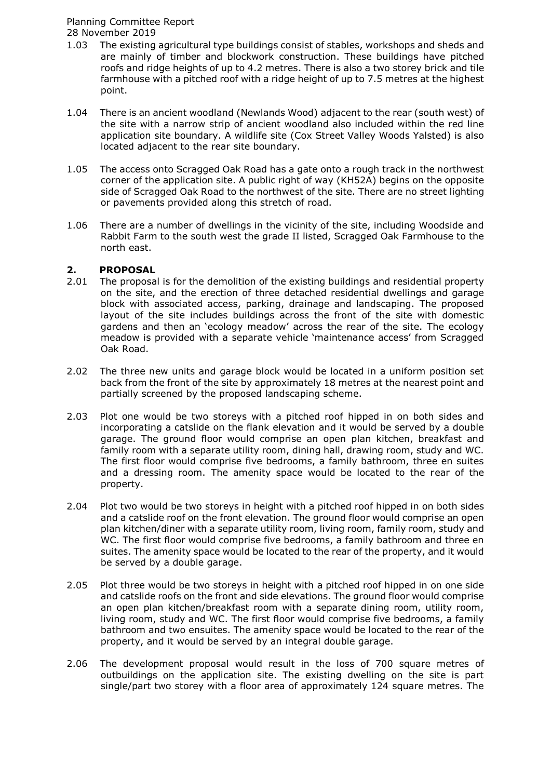- 1.03 The existing agricultural type buildings consist of stables, workshops and sheds and are mainly of timber and blockwork construction. These buildings have pitched roofs and ridge heights of up to 4.2 metres. There is also a two storey brick and tile farmhouse with a pitched roof with a ridge height of up to 7.5 metres at the highest point.
- 1.04 There is an ancient woodland (Newlands Wood) adjacent to the rear (south west) of the site with a narrow strip of ancient woodland also included within the red line application site boundary. A wildlife site (Cox Street Valley Woods Yalsted) is also located adjacent to the rear site boundary.
- 1.05 The access onto Scragged Oak Road has a gate onto a rough track in the northwest corner of the application site. A public right of way (KH52A) begins on the opposite side of Scragged Oak Road to the northwest of the site. There are no street lighting or pavements provided along this stretch of road.
- 1.06 There are a number of dwellings in the vicinity of the site, including Woodside and Rabbit Farm to the south west the grade II listed, Scragged Oak Farmhouse to the north east.

### **2. PROPOSAL**

- 2.01 The proposal is for the demolition of the existing buildings and residential property on the site, and the erection of three detached residential dwellings and garage block with associated access, parking, drainage and landscaping. The proposed layout of the site includes buildings across the front of the site with domestic gardens and then an 'ecology meadow' across the rear of the site. The ecology meadow is provided with a separate vehicle 'maintenance access' from Scragged Oak Road.
- 2.02 The three new units and garage block would be located in a uniform position set back from the front of the site by approximately 18 metres at the nearest point and partially screened by the proposed landscaping scheme.
- 2.03 Plot one would be two storeys with a pitched roof hipped in on both sides and incorporating a catslide on the flank elevation and it would be served by a double garage. The ground floor would comprise an open plan kitchen, breakfast and family room with a separate utility room, dining hall, drawing room, study and WC. The first floor would comprise five bedrooms, a family bathroom, three en suites and a dressing room. The amenity space would be located to the rear of the property.
- 2.04 Plot two would be two storeys in height with a pitched roof hipped in on both sides and a catslide roof on the front elevation. The ground floor would comprise an open plan kitchen/diner with a separate utility room, living room, family room, study and WC. The first floor would comprise five bedrooms, a family bathroom and three en suites. The amenity space would be located to the rear of the property, and it would be served by a double garage.
- 2.05 Plot three would be two storeys in height with a pitched roof hipped in on one side and catslide roofs on the front and side elevations. The ground floor would comprise an open plan kitchen/breakfast room with a separate dining room, utility room, living room, study and WC. The first floor would comprise five bedrooms, a family bathroom and two ensuites. The amenity space would be located to the rear of the property, and it would be served by an integral double garage.
- 2.06 The development proposal would result in the loss of 700 square metres of outbuildings on the application site. The existing dwelling on the site is part single/part two storey with a floor area of approximately 124 square metres. The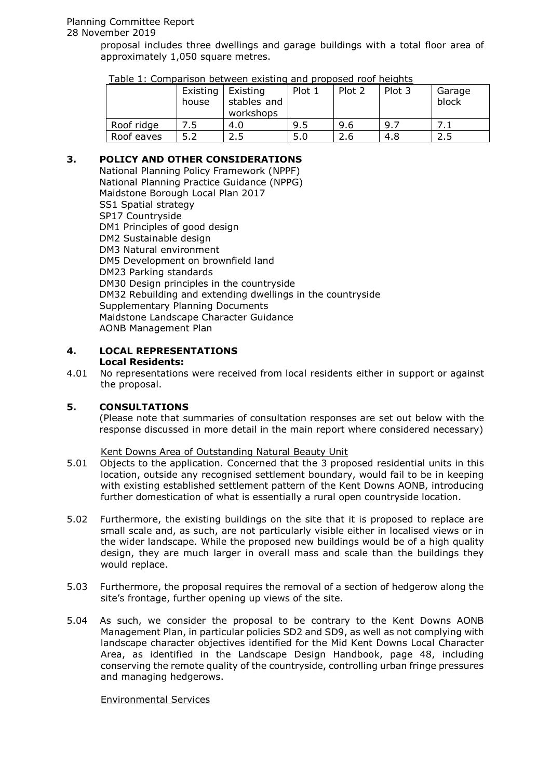# Planning Committee Report

# 28 November 2019

proposal includes three dwellings and garage buildings with a total floor area of approximately 1,050 square metres.

| . apic ±1 companioun pechteen existing and proposed room.com | Existing<br>house | Existing<br>stables and<br>workshops | Plot 1 | Plot 2 | Plot 3 | Garage<br>block |
|--------------------------------------------------------------|-------------------|--------------------------------------|--------|--------|--------|-----------------|
| Roof ridge                                                   |                   | 4.0                                  | 9.5    | 9.6    | 9.7    | . 1             |
| Roof eaves                                                   |                   | 2.5                                  | 5.0    | 2.6    | 4.8    | 2.5             |

Table 1: Comparison between existing and proposed roof heights

# **3. POLICY AND OTHER CONSIDERATIONS**

National Planning Policy Framework (NPPF) National Planning Practice Guidance (NPPG) Maidstone Borough Local Plan 2017 SS1 Spatial strategy SP17 Countryside DM1 Principles of good design DM2 Sustainable design DM3 Natural environment DM5 Development on brownfield land DM23 Parking standards DM30 Design principles in the countryside DM32 Rebuilding and extending dwellings in the countryside Supplementary Planning Documents Maidstone Landscape Character Guidance AONB Management Plan

#### **4. LOCAL REPRESENTATIONS Local Residents:**

4.01 No representations were received from local residents either in support or against the proposal.

# **5. CONSULTATIONS**

(Please note that summaries of consultation responses are set out below with the response discussed in more detail in the main report where considered necessary)

#### Kent Downs Area of Outstanding Natural Beauty Unit

- 5.01 Objects to the application. Concerned that the 3 proposed residential units in this location, outside any recognised settlement boundary, would fail to be in keeping with existing established settlement pattern of the Kent Downs AONB, introducing further domestication of what is essentially a rural open countryside location.
- 5.02 Furthermore, the existing buildings on the site that it is proposed to replace are small scale and, as such, are not particularly visible either in localised views or in the wider landscape. While the proposed new buildings would be of a high quality design, they are much larger in overall mass and scale than the buildings they would replace.
- 5.03 Furthermore, the proposal requires the removal of a section of hedgerow along the site's frontage, further opening up views of the site.
- 5.04 As such, we consider the proposal to be contrary to the Kent Downs AONB Management Plan, in particular policies SD2 and SD9, as well as not complying with landscape character objectives identified for the Mid Kent Downs Local Character Area, as identified in the Landscape Design Handbook, page 48, including conserving the remote quality of the countryside, controlling urban fringe pressures and managing hedgerows.

#### Environmental Services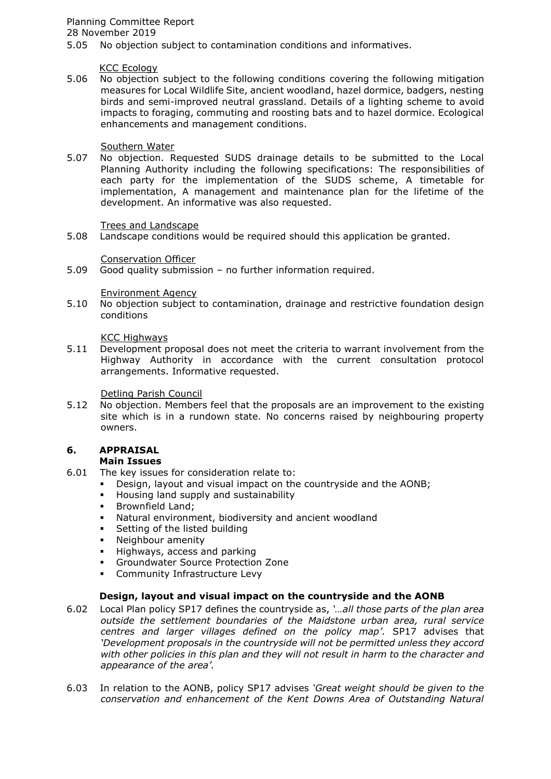# Planning Committee Report

28 November 2019

5.05 No objection subject to contamination conditions and informatives.

#### KCC Ecology

5.06 No objection subject to the following conditions covering the following mitigation measures for Local Wildlife Site, ancient woodland, hazel dormice, badgers, nesting birds and semi-improved neutral grassland. Details of a lighting scheme to avoid impacts to foraging, commuting and roosting bats and to hazel dormice. Ecological enhancements and management conditions.

### Southern Water

5.07 No objection. Requested SUDS drainage details to be submitted to the Local Planning Authority including the following specifications: The responsibilities of each party for the implementation of the SUDS scheme, A timetable for implementation, A management and maintenance plan for the lifetime of the development. An informative was also requested.

### Trees and Landscape

5.08 Landscape conditions would be required should this application be granted.

### Conservation Officer

5.09 Good quality submission – no further information required.

### Environment Agency

5.10 No objection subject to contamination, drainage and restrictive foundation design conditions

### KCC Highways

5.11 Development proposal does not meet the criteria to warrant involvement from the Highway Authority in accordance with the current consultation protocol arrangements. Informative requested.

### Detling Parish Council

5.12 No objection. Members feel that the proposals are an improvement to the existing site which is in a rundown state. No concerns raised by neighbouring property owners.

# **6. APPRAISAL**

# **Main Issues**

- 6.01 The key issues for consideration relate to:
	- Design, layout and visual impact on the countryside and the AONB;
		- Housing land supply and sustainability
		- Brownfield Land;
		- Natural environment, biodiversity and ancient woodland
	- Setting of the listed building<br>Neighbour amenity
	- Neighbour amenity
	- **Highways, access and parking**
	- Groundwater Source Protection Zone
	- **•** Community Infrastructure Levy

# **Design, layout and visual impact on the countryside and the AONB**

- 6.02 Local Plan policy SP17 defines the countryside as, *'…all those parts of the plan area outside the settlement boundaries of the Maidstone urban area, rural service centres and larger villages defined on the policy map'.* SP17 advises that *'Development proposals in the countryside will not be permitted unless they accord with other policies in this plan and they will not result in harm to the character and appearance of the area'.*
- 6.03 In relation to the AONB, policy SP17 advises *'Great weight should be given to the conservation and enhancement of the Kent Downs Area of Outstanding Natural*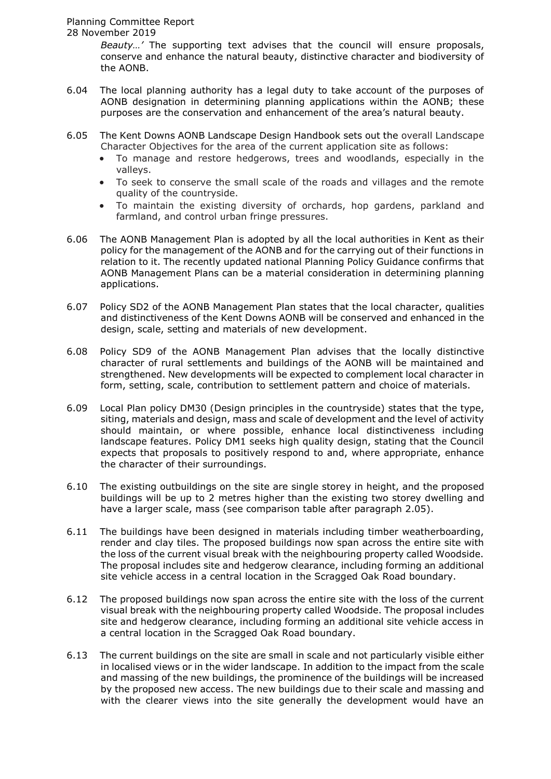# Planning Committee Report

#### 28 November 2019

*Beauty…'* The supporting text advises that the council will ensure proposals, conserve and enhance the natural beauty, distinctive character and biodiversity of the AONB.

- 6.04 The local planning authority has a legal duty to take account of the purposes of AONB designation in determining planning applications within the AONB; these purposes are the conservation and enhancement of the area's natural beauty.
- 6.05 The Kent Downs AONB Landscape Design Handbook sets out the overall Landscape Character Objectives for the area of the current application site as follows:
	- To manage and restore hedgerows, trees and woodlands, especially in the valleys.
	- To seek to conserve the small scale of the roads and villages and the remote quality of the countryside.
	- To maintain the existing diversity of orchards, hop gardens, parkland and farmland, and control urban fringe pressures.
- 6.06 The AONB Management Plan is adopted by all the local authorities in Kent as their policy for the management of the AONB and for the carrying out of their functions in relation to it. The recently updated national Planning Policy Guidance confirms that AONB Management Plans can be a material consideration in determining planning applications.
- 6.07 Policy SD2 of the AONB Management Plan states that the local character, qualities and distinctiveness of the Kent Downs AONB will be conserved and enhanced in the design, scale, setting and materials of new development.
- 6.08 Policy SD9 of the AONB Management Plan advises that the locally distinctive character of rural settlements and buildings of the AONB will be maintained and strengthened. New developments will be expected to complement local character in form, setting, scale, contribution to settlement pattern and choice of materials.
- 6.09 Local Plan policy DM30 (Design principles in the countryside) states that the type, siting, materials and design, mass and scale of development and the level of activity should maintain, or where possible, enhance local distinctiveness including landscape features. Policy DM1 seeks high quality design, stating that the Council expects that proposals to positively respond to and, where appropriate, enhance the character of their surroundings.
- 6.10 The existing outbuildings on the site are single storey in height, and the proposed buildings will be up to 2 metres higher than the existing two storey dwelling and have a larger scale, mass (see comparison table after paragraph 2.05).
- 6.11 The buildings have been designed in materials including timber weatherboarding, render and clay tiles. The proposed buildings now span across the entire site with the loss of the current visual break with the neighbouring property called Woodside. The proposal includes site and hedgerow clearance, including forming an additional site vehicle access in a central location in the Scragged Oak Road boundary.
- 6.12 The proposed buildings now span across the entire site with the loss of the current visual break with the neighbouring property called Woodside. The proposal includes site and hedgerow clearance, including forming an additional site vehicle access in a central location in the Scragged Oak Road boundary.
- 6.13 The current buildings on the site are small in scale and not particularly visible either in localised views or in the wider landscape. In addition to the impact from the scale and massing of the new buildings, the prominence of the buildings will be increased by the proposed new access. The new buildings due to their scale and massing and with the clearer views into the site generally the development would have an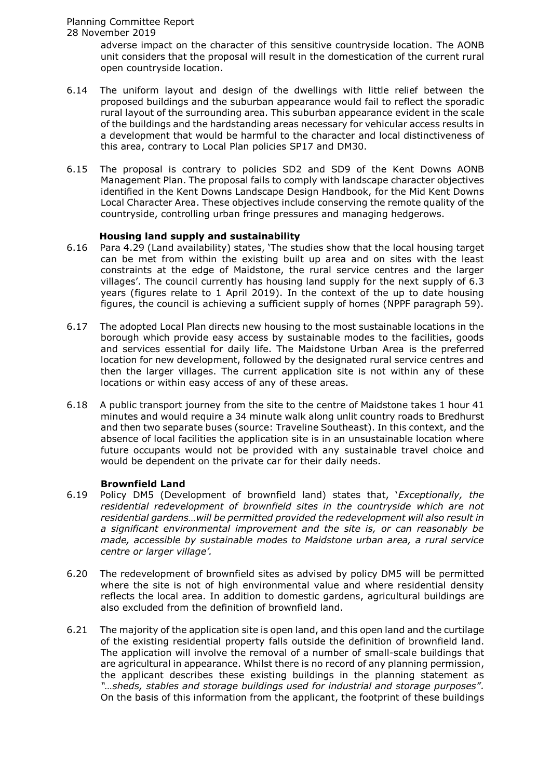adverse impact on the character of this sensitive countryside location. The AONB unit considers that the proposal will result in the domestication of the current rural open countryside location.

- 6.14 The uniform layout and design of the dwellings with little relief between the proposed buildings and the suburban appearance would fail to reflect the sporadic rural layout of the surrounding area. This suburban appearance evident in the scale of the buildings and the hardstanding areas necessary for vehicular access results in a development that would be harmful to the character and local distinctiveness of this area, contrary to Local Plan policies SP17 and DM30.
- 6.15 The proposal is contrary to policies SD2 and SD9 of the Kent Downs AONB Management Plan. The proposal fails to comply with landscape character objectives identified in the Kent Downs Landscape Design Handbook, for the Mid Kent Downs Local Character Area. These objectives include conserving the remote quality of the countryside, controlling urban fringe pressures and managing hedgerows.

### **Housing land supply and sustainability**

- 6.16 Para 4.29 (Land availability) states, 'The studies show that the local housing target can be met from within the existing built up area and on sites with the least constraints at the edge of Maidstone, the rural service centres and the larger villages'. The council currently has housing land supply for the next supply of 6.3 years (figures relate to 1 April 2019). In the context of the up to date housing figures, the council is achieving a sufficient supply of homes (NPPF paragraph 59).
- 6.17 The adopted Local Plan directs new housing to the most sustainable locations in the borough which provide easy access by sustainable modes to the facilities, goods and services essential for daily life. The Maidstone Urban Area is the preferred location for new development, followed by the designated rural service centres and then the larger villages. The current application site is not within any of these locations or within easy access of any of these areas.
- 6.18 A public transport journey from the site to the centre of Maidstone takes 1 hour 41 minutes and would require a 34 minute walk along unlit country roads to Bredhurst and then two separate buses (source: Traveline Southeast). In this context, and the absence of local facilities the application site is in an unsustainable location where future occupants would not be provided with any sustainable travel choice and would be dependent on the private car for their daily needs.

#### **Brownfield Land**

- 6.19 Policy DM5 (Development of brownfield land) states that, '*Exceptionally, the*  residential redevelopment of brownfield sites in the countryside which are not *residential gardens…will be permitted provided the redevelopment will also result in a significant environmental improvement and the site is, or can reasonably be made, accessible by sustainable modes to Maidstone urban area, a rural service centre or larger village'.*
- 6.20 The redevelopment of brownfield sites as advised by policy DM5 will be permitted where the site is not of high environmental value and where residential density reflects the local area. In addition to domestic gardens, agricultural buildings are also excluded from the definition of brownfield land.
- 6.21 The majority of the application site is open land, and this open land and the curtilage of the existing residential property falls outside the definition of brownfield land. The application will involve the removal of a number of small-scale buildings that are agricultural in appearance. Whilst there is no record of any planning permission, the applicant describes these existing buildings in the planning statement as *"…sheds, stables and storage buildings used for industrial and storage purposes".* On the basis of this information from the applicant, the footprint of these buildings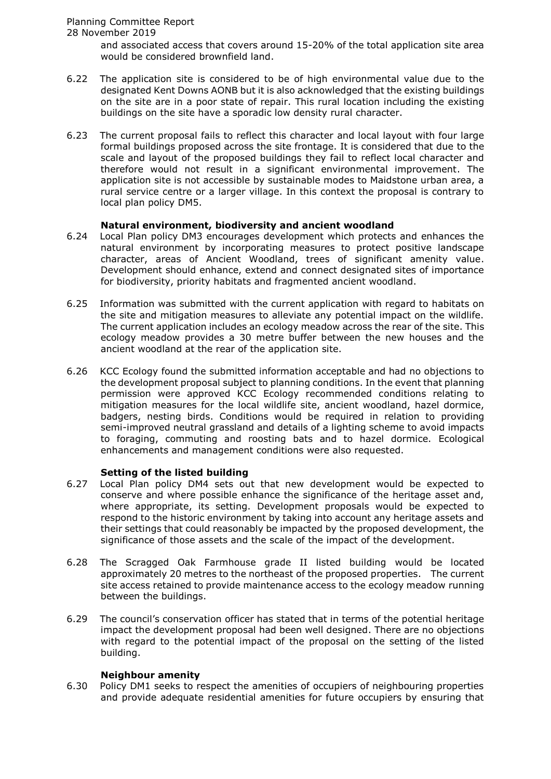### 28 November 2019

and associated access that covers around 15-20% of the total application site area would be considered brownfield land.

- 6.22 The application site is considered to be of high environmental value due to the designated Kent Downs AONB but it is also acknowledged that the existing buildings on the site are in a poor state of repair. This rural location including the existing buildings on the site have a sporadic low density rural character.
- 6.23 The current proposal fails to reflect this character and local layout with four large formal buildings proposed across the site frontage. It is considered that due to the scale and layout of the proposed buildings they fail to reflect local character and therefore would not result in a significant environmental improvement. The application site is not accessible by sustainable modes to Maidstone urban area, a rural service centre or a larger village. In this context the proposal is contrary to local plan policy DM5.

### **Natural environment, biodiversity and ancient woodland**

- 6.24 Local Plan policy DM3 encourages development which protects and enhances the natural environment by incorporating measures to protect positive landscape character, areas of Ancient Woodland, trees of significant amenity value. Development should enhance, extend and connect designated sites of importance for biodiversity, priority habitats and fragmented ancient woodland.
- 6.25 Information was submitted with the current application with regard to habitats on the site and mitigation measures to alleviate any potential impact on the wildlife. The current application includes an ecology meadow across the rear of the site. This ecology meadow provides a 30 metre buffer between the new houses and the ancient woodland at the rear of the application site.
- 6.26 KCC Ecology found the submitted information acceptable and had no objections to the development proposal subject to planning conditions. In the event that planning permission were approved KCC Ecology recommended conditions relating to mitigation measures for the local wildlife site, ancient woodland, hazel dormice, badgers, nesting birds. Conditions would be required in relation to providing semi-improved neutral grassland and details of a lighting scheme to avoid impacts to foraging, commuting and roosting bats and to hazel dormice. Ecological enhancements and management conditions were also requested.

# **Setting of the listed building**

- 6.27 Local Plan policy DM4 sets out that new development would be expected to conserve and where possible enhance the significance of the heritage asset and, where appropriate, its setting. Development proposals would be expected to respond to the historic environment by taking into account any heritage assets and their settings that could reasonably be impacted by the proposed development, the significance of those assets and the scale of the impact of the development.
- 6.28 The Scragged Oak Farmhouse grade II listed building would be located approximately 20 metres to the northeast of the proposed properties. The current site access retained to provide maintenance access to the ecology meadow running between the buildings.
- 6.29 The council's conservation officer has stated that in terms of the potential heritage impact the development proposal had been well designed. There are no objections with regard to the potential impact of the proposal on the setting of the listed building.

# **Neighbour amenity**

6.30 Policy DM1 seeks to respect the amenities of occupiers of neighbouring properties and provide adequate residential amenities for future occupiers by ensuring that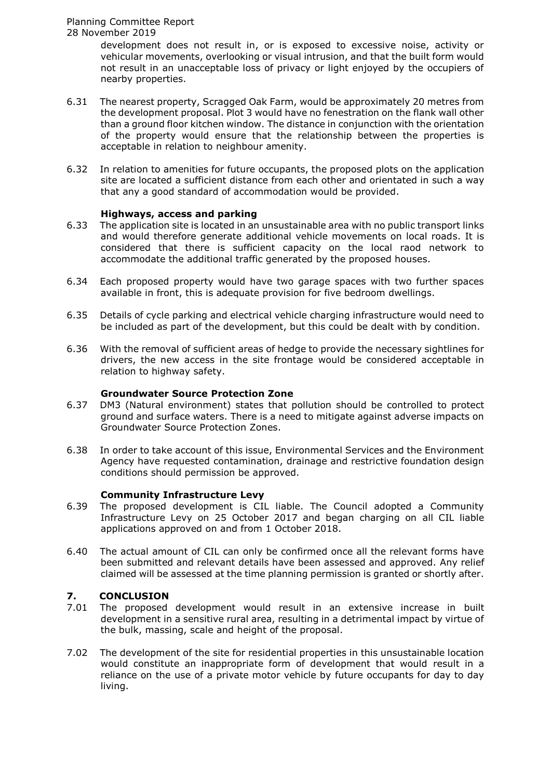development does not result in, or is exposed to excessive noise, activity or vehicular movements, overlooking or visual intrusion, and that the built form would not result in an unacceptable loss of privacy or light enjoyed by the occupiers of nearby properties.

- 6.31 The nearest property, Scragged Oak Farm, would be approximately 20 metres from the development proposal. Plot 3 would have no fenestration on the flank wall other than a ground floor kitchen window. The distance in conjunction with the orientation of the property would ensure that the relationship between the properties is acceptable in relation to neighbour amenity.
- 6.32 In relation to amenities for future occupants, the proposed plots on the application site are located a sufficient distance from each other and orientated in such a way that any a good standard of accommodation would be provided.

### **Highways, access and parking**

- 6.33 The application site is located in an unsustainable area with no public transport links and would therefore generate additional vehicle movements on local roads. It is considered that there is sufficient capacity on the local raod network to accommodate the additional traffic generated by the proposed houses.
- 6.34 Each proposed property would have two garage spaces with two further spaces available in front, this is adequate provision for five bedroom dwellings.
- 6.35 Details of cycle parking and electrical vehicle charging infrastructure would need to be included as part of the development, but this could be dealt with by condition.
- 6.36 With the removal of sufficient areas of hedge to provide the necessary sightlines for drivers, the new access in the site frontage would be considered acceptable in relation to highway safety.

#### **Groundwater Source Protection Zone**

- 6.37 DM3 (Natural environment) states that pollution should be controlled to protect ground and surface waters. There is a need to mitigate against adverse impacts on Groundwater Source Protection Zones.
- 6.38 In order to take account of this issue, Environmental Services and the Environment Agency have requested contamination, drainage and restrictive foundation design conditions should permission be approved.

#### **Community Infrastructure Levy**

- 6.39 The proposed development is CIL liable. The Council adopted a Community Infrastructure Levy on 25 October 2017 and began charging on all CIL liable applications approved on and from 1 October 2018.
- 6.40 The actual amount of CIL can only be confirmed once all the relevant forms have been submitted and relevant details have been assessed and approved. Any relief claimed will be assessed at the time planning permission is granted or shortly after.

# **7. CONCLUSION**

- 7.01 The proposed development would result in an extensive increase in built development in a sensitive rural area, resulting in a detrimental impact by virtue of the bulk, massing, scale and height of the proposal.
- 7.02 The development of the site for residential properties in this unsustainable location would constitute an inappropriate form of development that would result in a reliance on the use of a private motor vehicle by future occupants for day to day living.